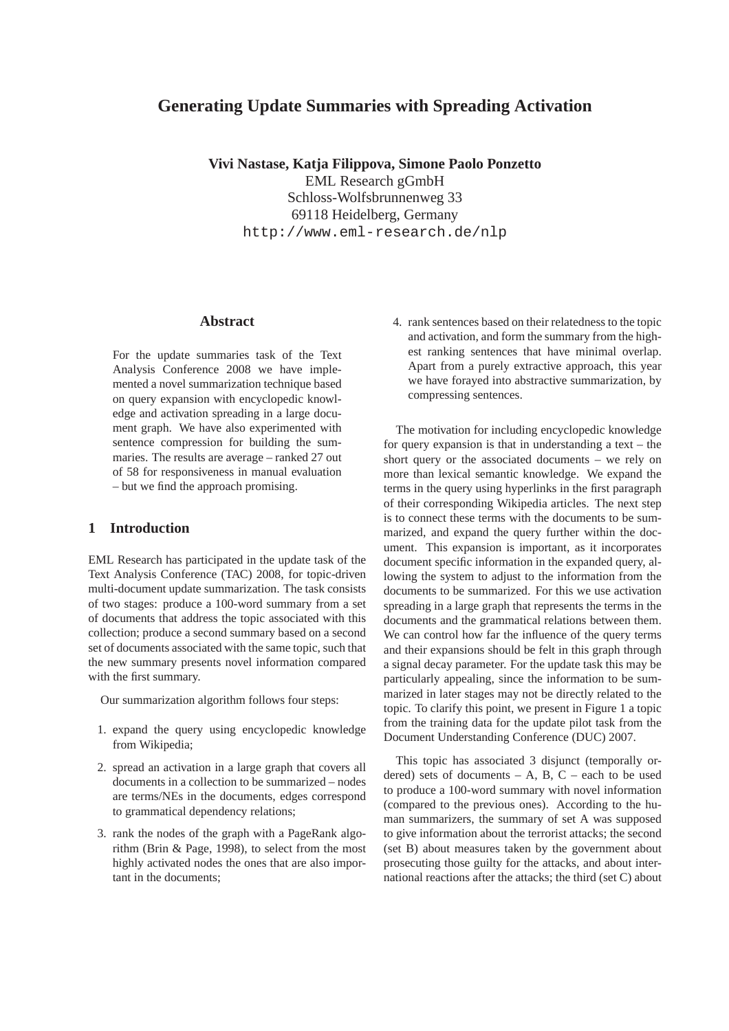# **Generating Update Summaries with Spreading Activation**

**Vivi Nastase, Katja Filippova, Simone Paolo Ponzetto** EML Research gGmbH Schloss-Wolfsbrunnenweg 33 69118 Heidelberg, Germany http://www.eml-research.de/nlp

## **Abstract**

For the update summaries task of the Text Analysis Conference 2008 we have implemented a novel summarization technique based on query expansion with encyclopedic knowledge and activation spreading in a large document graph. We have also experimented with sentence compression for building the summaries. The results are average – ranked 27 out of 58 for responsiveness in manual evaluation – but we find the approach promising.

# **1 Introduction**

EML Research has participated in the update task of the Text Analysis Conference (TAC) 2008, for topic-driven multi-document update summarization. The task consists of two stages: produce a 100-word summary from a set of documents that address the topic associated with this collection; produce a second summary based on a second set of documents associated with the same topic, such that the new summary presents novel information compared with the first summary.

Our summarization algorithm follows four steps:

- 1. expand the query using encyclopedic knowledge from Wikipedia;
- 2. spread an activation in a large graph that covers all documents in a collection to be summarized – nodes are terms/NEs in the documents, edges correspond to grammatical dependency relations;
- 3. rank the nodes of the graph with a PageRank algorithm (Brin & Page, 1998), to select from the most highly activated nodes the ones that are also important in the documents;

4. rank sentences based on their relatedness to the topic and activation, and form the summary from the highest ranking sentences that have minimal overlap. Apart from a purely extractive approach, this year we have forayed into abstractive summarization, by compressing sentences.

The motivation for including encyclopedic knowledge for query expansion is that in understanding a text – the short query or the associated documents – we rely on more than lexical semantic knowledge. We expand the terms in the query using hyperlinks in the first paragraph of their corresponding Wikipedia articles. The next step is to connect these terms with the documents to be summarized, and expand the query further within the document. This expansion is important, as it incorporates document specific information in the expanded query, allowing the system to adjust to the information from the documents to be summarized. For this we use activation spreading in a large graph that represents the terms in the documents and the grammatical relations between them. We can control how far the influence of the query terms and their expansions should be felt in this graph through a signal decay parameter. For the update task this may be particularly appealing, since the information to be summarized in later stages may not be directly related to the topic. To clarify this point, we present in Figure 1 a topic from the training data for the update pilot task from the Document Understanding Conference (DUC) 2007.

This topic has associated 3 disjunct (temporally ordered) sets of documents  $- A$ , B, C  $-$  each to be used to produce a 100-word summary with novel information (compared to the previous ones). According to the human summarizers, the summary of set A was supposed to give information about the terrorist attacks; the second (set B) about measures taken by the government about prosecuting those guilty for the attacks, and about international reactions after the attacks; the third (set C) about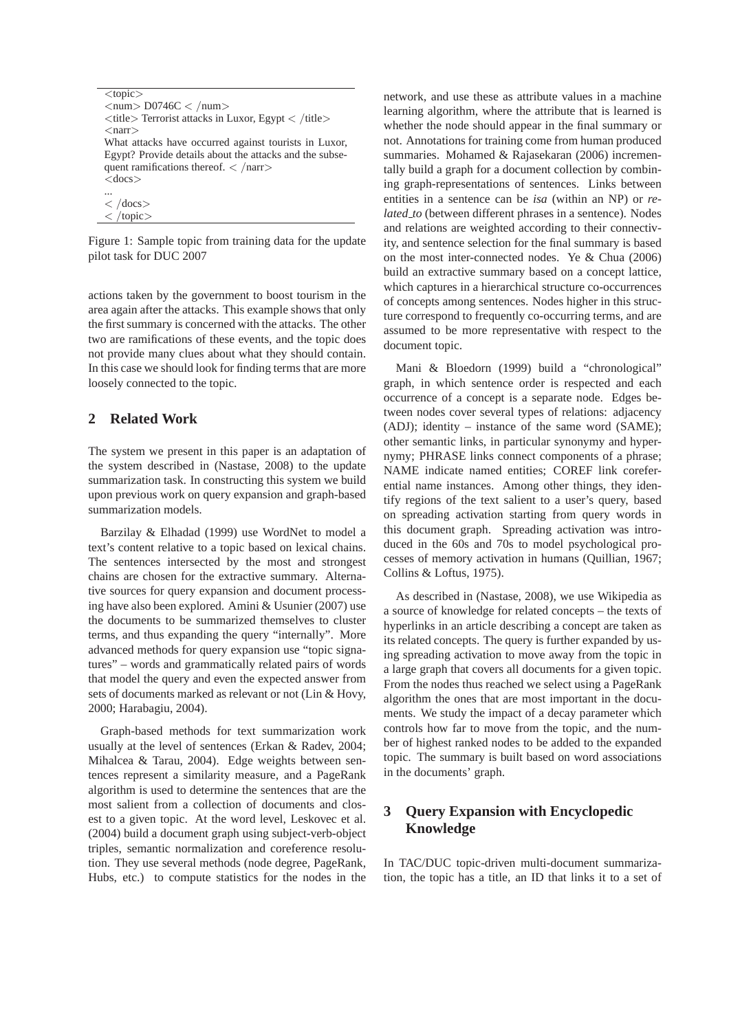```
<topic>
\langlenum> D0746C \langle /num>\langletitle\rangle Terrorist attacks in Luxor, Egypt \langle /title\rangle<narr>What attacks have occurred against tourists in Luxor,
Egypt? Provide details about the attacks and the subse-
quent ramifications thereof. \langle /narr>
<docs>...
\langle /docs>
\langle /topic
```
Figure 1: Sample topic from training data for the update pilot task for DUC 2007

actions taken by the government to boost tourism in the area again after the attacks. This example shows that only the first summary is concerned with the attacks. The other two are ramifications of these events, and the topic does not provide many clues about what they should contain. In this case we should look for finding terms that are more loosely connected to the topic.

## **2 Related Work**

The system we present in this paper is an adaptation of the system described in (Nastase, 2008) to the update summarization task. In constructing this system we build upon previous work on query expansion and graph-based summarization models.

Barzilay & Elhadad (1999) use WordNet to model a text's content relative to a topic based on lexical chains. The sentences intersected by the most and strongest chains are chosen for the extractive summary. Alternative sources for query expansion and document processing have also been explored. Amini & Usunier (2007) use the documents to be summarized themselves to cluster terms, and thus expanding the query "internally". More advanced methods for query expansion use "topic signatures" – words and grammatically related pairs of words that model the query and even the expected answer from sets of documents marked as relevant or not (Lin & Hovy, 2000; Harabagiu, 2004).

Graph-based methods for text summarization work usually at the level of sentences (Erkan & Radev, 2004; Mihalcea & Tarau, 2004). Edge weights between sentences represent a similarity measure, and a PageRank algorithm is used to determine the sentences that are the most salient from a collection of documents and closest to a given topic. At the word level, Leskovec et al. (2004) build a document graph using subject-verb-object triples, semantic normalization and coreference resolution. They use several methods (node degree, PageRank, Hubs, etc.) to compute statistics for the nodes in the

network, and use these as attribute values in a machine learning algorithm, where the attribute that is learned is whether the node should appear in the final summary or not. Annotations for training come from human produced summaries. Mohamed & Rajasekaran (2006) incrementally build a graph for a document collection by combining graph-representations of sentences. Links between entities in a sentence can be *isa* (within an NP) or *related to* (between different phrases in a sentence). Nodes and relations are weighted according to their connectivity, and sentence selection for the final summary is based on the most inter-connected nodes. Ye & Chua (2006) build an extractive summary based on a concept lattice, which captures in a hierarchical structure co-occurrences of concepts among sentences. Nodes higher in this structure correspond to frequently co-occurring terms, and are assumed to be more representative with respect to the document topic.

Mani & Bloedorn (1999) build a "chronological" graph, in which sentence order is respected and each occurrence of a concept is a separate node. Edges between nodes cover several types of relations: adjacency (ADJ); identity – instance of the same word (SAME); other semantic links, in particular synonymy and hypernymy; PHRASE links connect components of a phrase; NAME indicate named entities; COREF link coreferential name instances. Among other things, they identify regions of the text salient to a user's query, based on spreading activation starting from query words in this document graph. Spreading activation was introduced in the 60s and 70s to model psychological processes of memory activation in humans (Quillian, 1967; Collins & Loftus, 1975).

As described in (Nastase, 2008), we use Wikipedia as a source of knowledge for related concepts – the texts of hyperlinks in an article describing a concept are taken as its related concepts. The query is further expanded by using spreading activation to move away from the topic in a large graph that covers all documents for a given topic. From the nodes thus reached we select using a PageRank algorithm the ones that are most important in the documents. We study the impact of a decay parameter which controls how far to move from the topic, and the number of highest ranked nodes to be added to the expanded topic. The summary is built based on word associations in the documents' graph.

# **3 Query Expansion with Encyclopedic Knowledge**

In TAC/DUC topic-driven multi-document summarization, the topic has a title, an ID that links it to a set of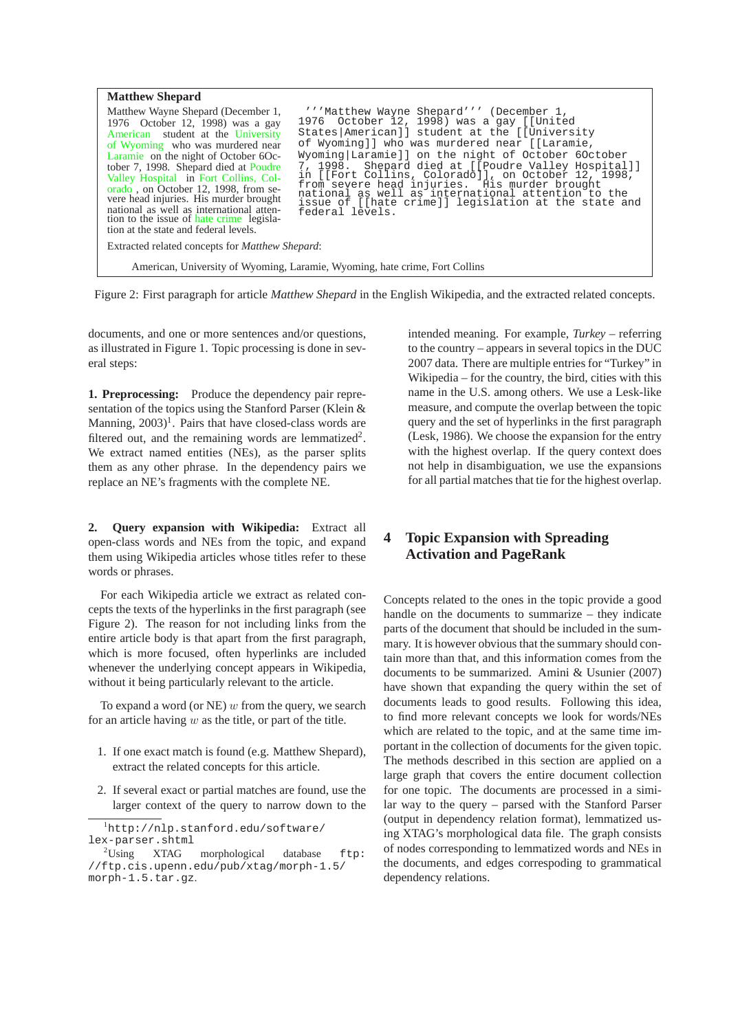| <b>Matthew Shepard</b><br>Matthew Wayne Shepard (December 1,<br>1976 October 12, 1998) was a gay<br>American student at the University<br>of Wyoming who was murdered near<br>Laramie on the night of October 60c-<br>tober 7, 1998. Shepard died at Poudre<br>Valley Hospital in Fort Collins, Col-<br>orado, on October 12, 1998, from se-<br>vere head injuries. His murder brought<br>national as well as international atten-<br>tion to the issue of hate crime legisla-<br>tion at the state and federal levels. | " "Matthew Wayne Shepard" " (December 1,<br>1976 October 12, 1998) was a gay [[United<br>States   American] ] student at the [[University<br>of Wyoming]] who was murdered near [[Laramie,<br>Wyoming Laramie]] on the night of October 60ctober<br>7, 1998. Shepard died at [[Poudre Valley Hospital]]<br>in [[Fort Collins, Colorado]], on October 12, 1998,<br>from severe head injuries. His murder brought<br>national as well as international attention to the<br>issue of [[hate crime]] legislation at the state and<br>federal levels. |  |  |  |
|-------------------------------------------------------------------------------------------------------------------------------------------------------------------------------------------------------------------------------------------------------------------------------------------------------------------------------------------------------------------------------------------------------------------------------------------------------------------------------------------------------------------------|--------------------------------------------------------------------------------------------------------------------------------------------------------------------------------------------------------------------------------------------------------------------------------------------------------------------------------------------------------------------------------------------------------------------------------------------------------------------------------------------------------------------------------------------------|--|--|--|
|                                                                                                                                                                                                                                                                                                                                                                                                                                                                                                                         |                                                                                                                                                                                                                                                                                                                                                                                                                                                                                                                                                  |  |  |  |
| Extracted related concepts for <i>Matthew Shepard</i> :                                                                                                                                                                                                                                                                                                                                                                                                                                                                 |                                                                                                                                                                                                                                                                                                                                                                                                                                                                                                                                                  |  |  |  |
| American, University of Wyoming, Laramie, Wyoming, hate crime, Fort Collins                                                                                                                                                                                                                                                                                                                                                                                                                                             |                                                                                                                                                                                                                                                                                                                                                                                                                                                                                                                                                  |  |  |  |

Figure 2: First paragraph for article *Matthew Shepard* in the English Wikipedia, and the extracted related concepts.

documents, and one or more sentences and/or questions, as illustrated in Figure 1. Topic processing is done in several steps:

**1. Preprocessing:** Produce the dependency pair representation of the topics using the Stanford Parser (Klein & Manning, 2003)<sup>1</sup>. Pairs that have closed-class words are filtered out, and the remaining words are lemmatized<sup>2</sup>. We extract named entities (NEs), as the parser splits them as any other phrase. In the dependency pairs we replace an NE's fragments with the complete NE.

**2. Query expansion with Wikipedia:** Extract all open-class words and NEs from the topic, and expand them using Wikipedia articles whose titles refer to these words or phrases.

For each Wikipedia article we extract as related concepts the texts of the hyperlinks in the first paragraph (see Figure 2). The reason for not including links from the entire article body is that apart from the first paragraph, which is more focused, often hyperlinks are included whenever the underlying concept appears in Wikipedia, without it being particularly relevant to the article.

To expand a word (or  $NE$ )  $w$  from the query, we search for an article having  $w$  as the title, or part of the title.

- 1. If one exact match is found (e.g. Matthew Shepard), extract the related concepts for this article.
- 2. If several exact or partial matches are found, use the larger context of the query to narrow down to the

intended meaning. For example, *Turkey* – referring to the country – appears in several topics in the DUC 2007 data. There are multiple entries for "Turkey" in Wikipedia – for the country, the bird, cities with this name in the U.S. among others. We use a Lesk-like measure, and compute the overlap between the topic query and the set of hyperlinks in the first paragraph (Lesk, 1986). We choose the expansion for the entry with the highest overlap. If the query context does not help in disambiguation, we use the expansions for all partial matches that tie for the highest overlap.

# **4 Topic Expansion with Spreading Activation and PageRank**

Concepts related to the ones in the topic provide a good handle on the documents to summarize – they indicate parts of the document that should be included in the summary. It is however obvious that the summary should contain more than that, and this information comes from the documents to be summarized. Amini & Usunier (2007) have shown that expanding the query within the set of documents leads to good results. Following this idea, to find more relevant concepts we look for words/NEs which are related to the topic, and at the same time important in the collection of documents for the given topic. The methods described in this section are applied on a large graph that covers the entire document collection for one topic. The documents are processed in a similar way to the query – parsed with the Stanford Parser (output in dependency relation format), lemmatized using XTAG's morphological data file. The graph consists of nodes corresponding to lemmatized words and NEs in the documents, and edges correspoding to grammatical dependency relations.

<sup>1</sup>http://nlp.stanford.edu/software/ lex-parser.shtml

 $2^2$ Using XTAG morphological database ftp: //ftp.cis.upenn.edu/pub/xtag/morph-1.5/ morph-1.5.tar.gz.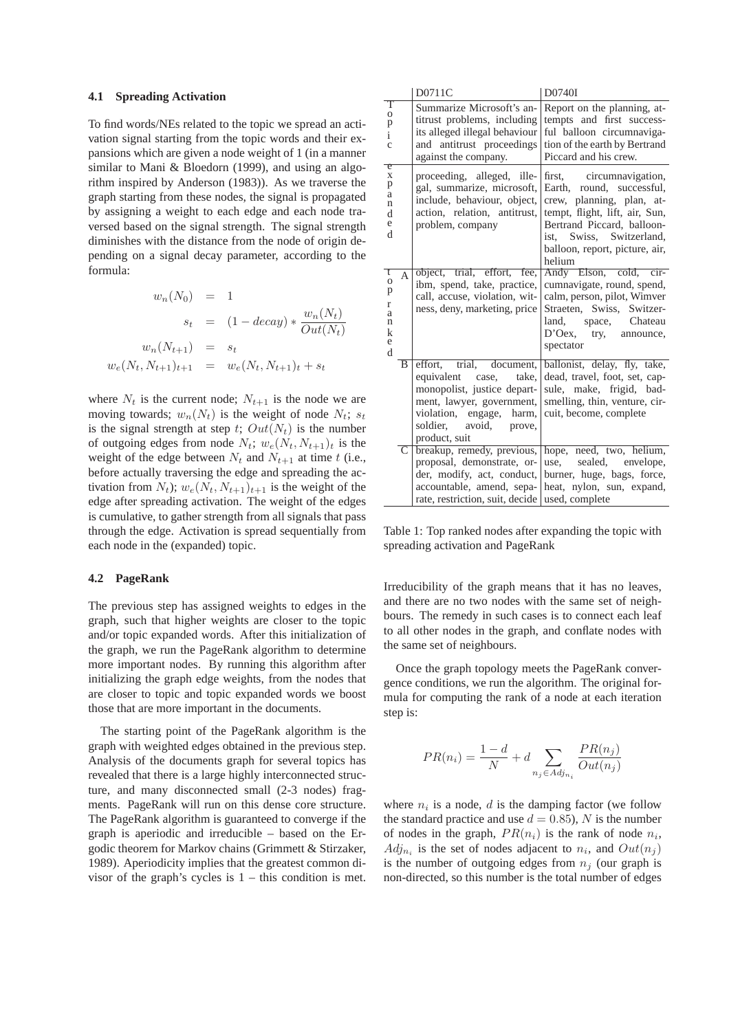#### **4.1 Spreading Activation**

To find words/NEs related to the topic we spread an activation signal starting from the topic words and their expansions which are given a node weight of 1 (in a manner similar to Mani & Bloedorn (1999), and using an algorithm inspired by Anderson (1983)). As we traverse the graph starting from these nodes, the signal is propagated by assigning a weight to each edge and each node traversed based on the signal strength. The signal strength diminishes with the distance from the node of origin depending on a signal decay parameter, according to the formula:

$$
w_n(N_0) = 1
$$
  
\n
$$
s_t = (1 - decay) * \frac{w_n(N_t)}{Out(N_t)}
$$
  
\n
$$
w_n(N_{t+1}) = s_t
$$
  
\n
$$
w_e(N_t, N_{t+1})_{t+1} = w_e(N_t, N_{t+1})_t + s_t
$$

where  $N_t$  is the current node;  $N_{t+1}$  is the node we are moving towards;  $w_n(N_t)$  is the weight of node  $N_t$ ;  $s_t$ is the signal strength at step t;  $Out(N_t)$  is the number of outgoing edges from node  $N_t$ ;  $w_e(N_t, N_{t+1})$ <sub>t</sub> is the weight of the edge between  $N_t$  and  $N_{t+1}$  at time t (i.e., before actually traversing the edge and spreading the activation from  $N_t$ );  $w_e(N_t, N_{t+1})_{t+1}$  is the weight of the edge after spreading activation. The weight of the edges is cumulative, to gather strength from all signals that pass through the edge. Activation is spread sequentially from each node in the (expanded) topic.

### **4.2 PageRank**

The previous step has assigned weights to edges in the graph, such that higher weights are closer to the topic and/or topic expanded words. After this initialization of the graph, we run the PageRank algorithm to determine more important nodes. By running this algorithm after initializing the graph edge weights, from the nodes that are closer to topic and topic expanded words we boost those that are more important in the documents.

The starting point of the PageRank algorithm is the graph with weighted edges obtained in the previous step. Analysis of the documents graph for several topics has revealed that there is a large highly interconnected structure, and many disconnected small (2-3 nodes) fragments. PageRank will run on this dense core structure. The PageRank algorithm is guaranteed to converge if the graph is aperiodic and irreducible – based on the Ergodic theorem for Markov chains (Grimmett & Stirzaker, 1989). Aperiodicity implies that the greatest common divisor of the graph's cycles is 1 – this condition is met.

|                                                                                   |              | D0711C                                                                                                                                                                                | D0740I                                                                                                                                                                                                                     |
|-----------------------------------------------------------------------------------|--------------|---------------------------------------------------------------------------------------------------------------------------------------------------------------------------------------|----------------------------------------------------------------------------------------------------------------------------------------------------------------------------------------------------------------------------|
| Т<br>$\mathbf O$<br>p<br>i<br>$\mathbf{C}$                                        |              | Summarize Microsoft's an-<br>titrust problems, including<br>its alleged illegal behaviour<br>and antitrust proceedings<br>against the company.                                        | Report on the planning, at-<br>tempts and first success-<br>ful balloon circumnaviga-<br>tion of the earth by Bertrand<br>Piccard and his crew.                                                                            |
| e<br>$\mathbf X$<br>p<br>a<br>$\mathbf n$<br>d<br>e<br>d                          |              | proceeding, alleged, ille-<br>gal, summarize, microsoft,<br>include, behaviour, object,<br>action, relation, antitrust,<br>problem, company                                           | first, circumnavigation,<br>Earth, round, successful,<br>crew, planning, plan, at-<br>tempt, flight, lift, air, Sun,<br>Bertrand Piccard, balloon-<br>ist, Swiss, Switzerland,<br>balloon, report, picture, air,<br>helium |
| t<br>$\mathbf O$<br>p<br>$\mathbf r$<br>a<br>$\mathbf n$<br>$\mathbf k$<br>e<br>d | $\mathsf{A}$ | object, trial, effort, fee,<br>ibm, spend, take, practice,<br>call, accuse, violation, wit-<br>ness, deny, marketing, price                                                           | Andy Elson, cold, cir-<br>cumnavigate, round, spend,<br>calm, person, pilot, Wimver<br>Straeten, Swiss, Switzer-<br>land, space, Chateau<br>D'Oex, try, announce,<br>spectator                                             |
|                                                                                   | B            | effort, trial, document,<br>equivalent case, take,<br>monopolist, justice depart-<br>ment, lawyer, government,<br>violation, engage, harm,<br>soldier, avoid, prove,<br>product, suit | ballonist, delay, fly, take,<br>dead, travel, foot, set, cap-<br>sule, make, frigid, bad-<br>smelling, thin, venture, cir-<br>cuit, become, complete                                                                       |
|                                                                                   | C            | breakup, remedy, previous,<br>proposal, demonstrate, or-<br>der, modify, act, conduct,<br>accountable, amend, sepa-<br>rate, restriction, suit, decide used, complete                 | hope, need, two, helium,<br>use, sealed, envelope,<br>burner, huge, bags, force,<br>heat, nylon, sun, expand,                                                                                                              |

Table 1: Top ranked nodes after expanding the topic with spreading activation and PageRank

Irreducibility of the graph means that it has no leaves, and there are no two nodes with the same set of neighbours. The remedy in such cases is to connect each leaf to all other nodes in the graph, and conflate nodes with the same set of neighbours.

Once the graph topology meets the PageRank convergence conditions, we run the algorithm. The original formula for computing the rank of a node at each iteration step is:

$$
PR(n_i) = \frac{1-d}{N} + d \sum_{n_j \in Adj_n} \frac{PR(n_j)}{Out(n_j)}
$$

where  $n_i$  is a node,  $d$  is the damping factor (we follow the standard practice and use  $d = 0.85$ ), N is the number of nodes in the graph,  $PR(n_i)$  is the rank of node  $n_i$ ,  $Adj_{n_i}$  is the set of nodes adjacent to  $n_i$ , and  $Out(n_j)$ is the number of outgoing edges from  $n_i$  (our graph is non-directed, so this number is the total number of edges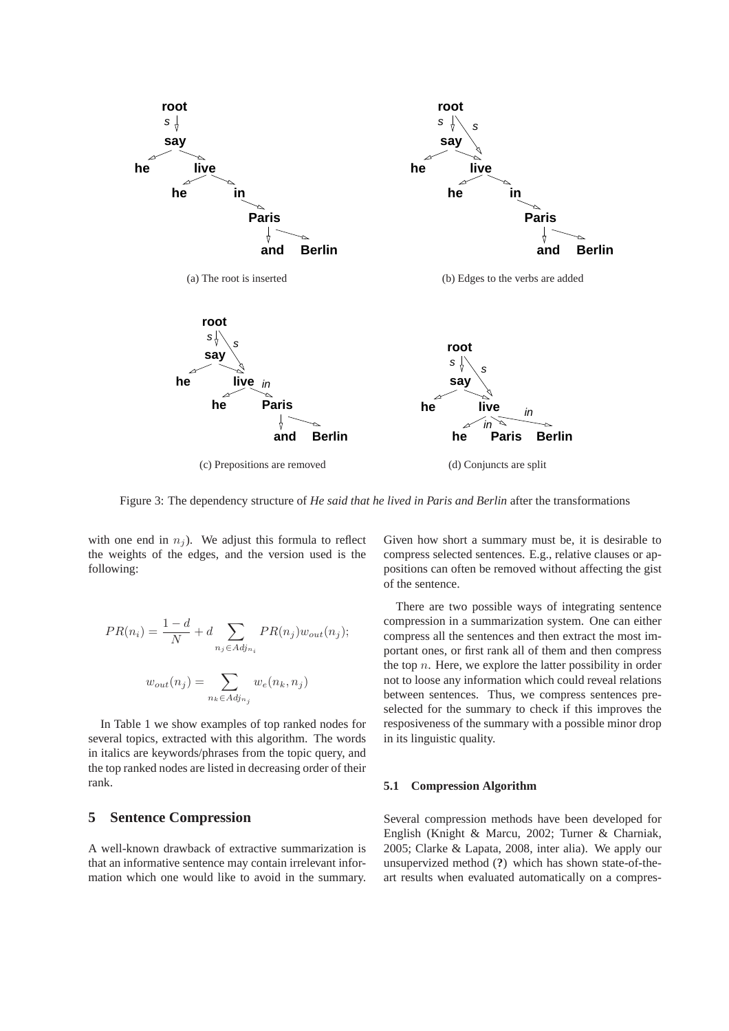

Figure 3: The dependency structure of *He said that he lived in Paris and Berlin* after the transformations

with one end in  $n<sub>i</sub>$ ). We adjust this formula to reflect the weights of the edges, and the version used is the following:

$$
PR(n_i) = \frac{1-d}{N} + d \sum_{n_j \in Adj_{n_i}} PR(n_j) w_{out}(n_j);
$$

$$
w_{out}(n_j) = \sum_{n_k \in Adj_{n_j}} w_e(n_k, n_j)
$$

In Table 1 we show examples of top ranked nodes for several topics, extracted with this algorithm. The words in italics are keywords/phrases from the topic query, and the top ranked nodes are listed in decreasing order of their rank.

## **5 Sentence Compression**

A well-known drawback of extractive summarization is that an informative sentence may contain irrelevant information which one would like to avoid in the summary.

Given how short a summary must be, it is desirable to compress selected sentences. E.g., relative clauses or appositions can often be removed without affecting the gist of the sentence.

There are two possible ways of integrating sentence compression in a summarization system. One can either compress all the sentences and then extract the most important ones, or first rank all of them and then compress the top  $n$ . Here, we explore the latter possibility in order not to loose any information which could reveal relations between sentences. Thus, we compress sentences preselected for the summary to check if this improves the resposiveness of the summary with a possible minor drop in its linguistic quality.

#### **5.1 Compression Algorithm**

Several compression methods have been developed for English (Knight & Marcu, 2002; Turner & Charniak, 2005; Clarke & Lapata, 2008, inter alia). We apply our unsupervized method (**?**) which has shown state-of-theart results when evaluated automatically on a compres-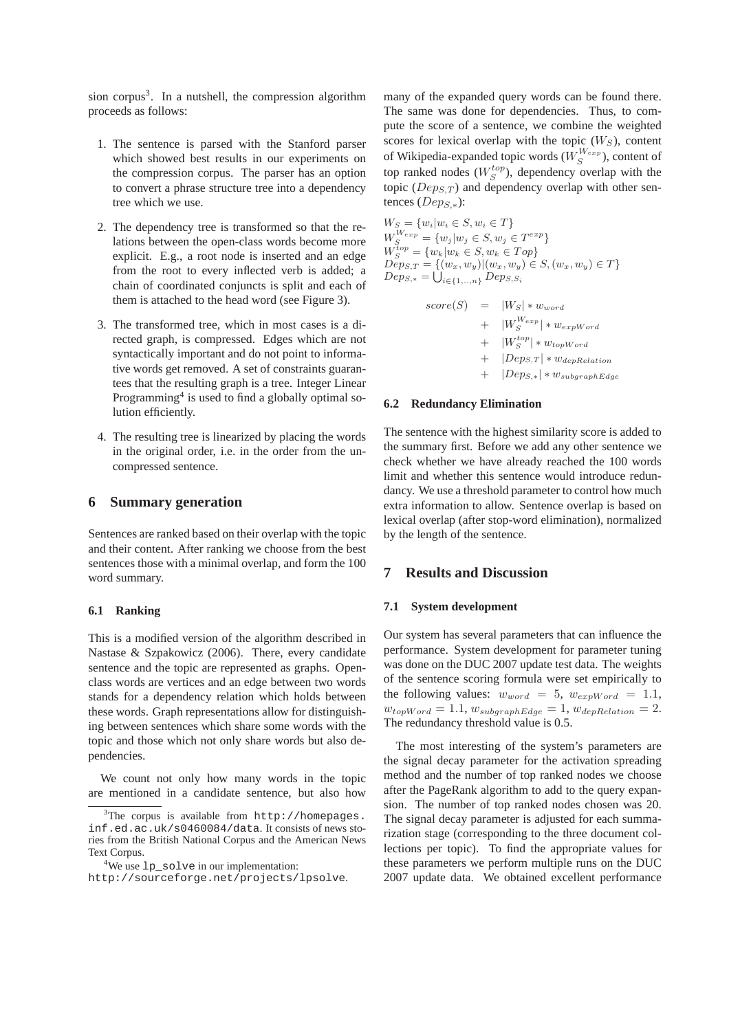sion corpus<sup>3</sup>. In a nutshell, the compression algorithm proceeds as follows:

- 1. The sentence is parsed with the Stanford parser which showed best results in our experiments on the compression corpus. The parser has an option to convert a phrase structure tree into a dependency tree which we use.
- 2. The dependency tree is transformed so that the relations between the open-class words become more explicit. E.g., a root node is inserted and an edge from the root to every inflected verb is added; a chain of coordinated conjuncts is split and each of them is attached to the head word (see Figure 3).
- 3. The transformed tree, which in most cases is a directed graph, is compressed. Edges which are not syntactically important and do not point to informative words get removed. A set of constraints guarantees that the resulting graph is a tree. Integer Linear Programming<sup>4</sup> is used to find a globally optimal solution efficiently.
- 4. The resulting tree is linearized by placing the words in the original order, i.e. in the order from the uncompressed sentence.

## **6 Summary generation**

Sentences are ranked based on their overlap with the topic and their content. After ranking we choose from the best sentences those with a minimal overlap, and form the 100 word summary.

### **6.1 Ranking**

This is a modified version of the algorithm described in Nastase & Szpakowicz (2006). There, every candidate sentence and the topic are represented as graphs. Openclass words are vertices and an edge between two words stands for a dependency relation which holds between these words. Graph representations allow for distinguishing between sentences which share some words with the topic and those which not only share words but also dependencies.

We count not only how many words in the topic are mentioned in a candidate sentence, but also how

many of the expanded query words can be found there. The same was done for dependencies. Thus, to compute the score of a sentence, we combine the weighted scores for lexical overlap with the topic  $(W<sub>S</sub>)$ , content of Wikipedia-expanded topic words  $(W_{S}^{W_{exp}})$ , content of top ranked nodes  $(W_S^{top})$ , dependency overlap with the topic ( $Dep_{ST}$ ) and dependency overlap with other sentences ( $Dep<sub>S,*</sub>$ ):

$$
W_S = \{w_i | w_i \in S, w_i \in T\}
$$
  
\n
$$
W_S^{W_{exp}} = \{w_j | w_j \in S, w_j \in T^{exp}\}
$$
  
\n
$$
W_S^{top} = \{w_k | w_k \in S, w_k \in Top\}
$$
  
\n
$$
Deps, T = \{(w_x, w_y) | (w_x, w_y) \in S, (w_x, w_y) \in T\}
$$
  
\n
$$
Deps_{,*} = \bigcup_{i \in \{1, ..., n\}} Deps_{,S_i}
$$

$$
score(S) = |W_S| * w_{word}
$$
  
+ 
$$
|W_S^{W_{exp}}| * w_{expWord}
$$
  
+ 
$$
|W_S^{top}| * w_{topWord}
$$
  
+ 
$$
|Deps_{,T}| * w_{depRelation}
$$
  
+ 
$$
|Deps_{,*}| * w_{subgraphEdge}
$$

### **6.2 Redundancy Elimination**

The sentence with the highest similarity score is added to the summary first. Before we add any other sentence we check whether we have already reached the 100 words limit and whether this sentence would introduce redundancy. We use a threshold parameter to control how much extra information to allow. Sentence overlap is based on lexical overlap (after stop-word elimination), normalized by the length of the sentence.

## **7 Results and Discussion**

#### **7.1 System development**

Our system has several parameters that can influence the performance. System development for parameter tuning was done on the DUC 2007 update test data. The weights of the sentence scoring formula were set empirically to the following values:  $w_{word} = 5$ ,  $w_{expWord} = 1.1$ ,  $w_{topWord} = 1.1, w_{subgraphEdge} = 1, w_{depRelation} = 2.$ The redundancy threshold value is 0.5.

The most interesting of the system's parameters are the signal decay parameter for the activation spreading method and the number of top ranked nodes we choose after the PageRank algorithm to add to the query expansion. The number of top ranked nodes chosen was 20. The signal decay parameter is adjusted for each summarization stage (corresponding to the three document collections per topic). To find the appropriate values for these parameters we perform multiple runs on the DUC 2007 update data. We obtained excellent performance

 $3$ The corpus is available from  $http://homepages.$ inf.ed.ac.uk/s0460084/data. It consists of news stories from the British National Corpus and the American News Text Corpus.

<sup>&</sup>lt;sup>4</sup>We use 1p solve in our implementation:

http://sourceforge.net/projects/lpsolve.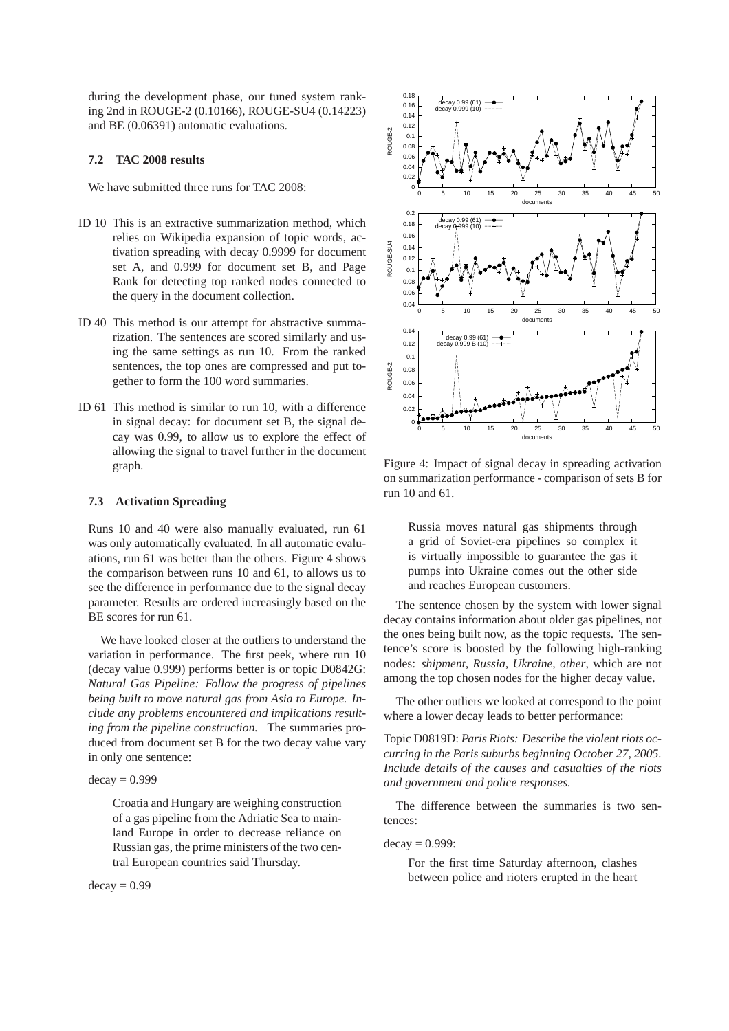during the development phase, our tuned system ranking 2nd in ROUGE-2 (0.10166), ROUGE-SU4 (0.14223) and BE (0.06391) automatic evaluations.

## **7.2 TAC 2008 results**

We have submitted three runs for TAC 2008:

- ID 10 This is an extractive summarization method, which relies on Wikipedia expansion of topic words, activation spreading with decay 0.9999 for document set A, and 0.999 for document set B, and Page Rank for detecting top ranked nodes connected to the query in the document collection.
- ID 40 This method is our attempt for abstractive summarization. The sentences are scored similarly and using the same settings as run 10. From the ranked sentences, the top ones are compressed and put together to form the 100 word summaries.
- ID 61 This method is similar to run 10, with a difference in signal decay: for document set B, the signal decay was 0.99, to allow us to explore the effect of allowing the signal to travel further in the document graph.

#### **7.3 Activation Spreading**

Runs 10 and 40 were also manually evaluated, run 61 was only automatically evaluated. In all automatic evaluations, run 61 was better than the others. Figure 4 shows the comparison between runs 10 and 61, to allows us to see the difference in performance due to the signal decay parameter. Results are ordered increasingly based on the BE scores for run 61.

We have looked closer at the outliers to understand the variation in performance. The first peek, where run 10 (decay value 0.999) performs better is or topic D0842G: *Natural Gas Pipeline: Follow the progress of pipelines being built to move natural gas from Asia to Europe. Include any problems encountered and implications resulting from the pipeline construction.* The summaries produced from document set B for the two decay value vary in only one sentence:

#### $decay = 0.999$

Croatia and Hungary are weighing construction of a gas pipeline from the Adriatic Sea to mainland Europe in order to decrease reliance on Russian gas, the prime ministers of the two central European countries said Thursday.

 $decay = 0.99$ 



Figure 4: Impact of signal decay in spreading activation on summarization performance - comparison of sets B for run 10 and 61.

Russia moves natural gas shipments through a grid of Soviet-era pipelines so complex it is virtually impossible to guarantee the gas it pumps into Ukraine comes out the other side and reaches European customers.

The sentence chosen by the system with lower signal decay contains information about older gas pipelines, not the ones being built now, as the topic requests. The sentence's score is boosted by the following high-ranking nodes: *shipment, Russia, Ukraine, other*, which are not among the top chosen nodes for the higher decay value.

The other outliers we looked at correspond to the point where a lower decay leads to better performance:

Topic D0819D: *Paris Riots: Describe the violent riots occurring in the Paris suburbs beginning October 27, 2005. Include details of the causes and casualties of the riots and government and police responses.*

The difference between the summaries is two sentences:

 $decay = 0.999$ :

For the first time Saturday afternoon, clashes between police and rioters erupted in the heart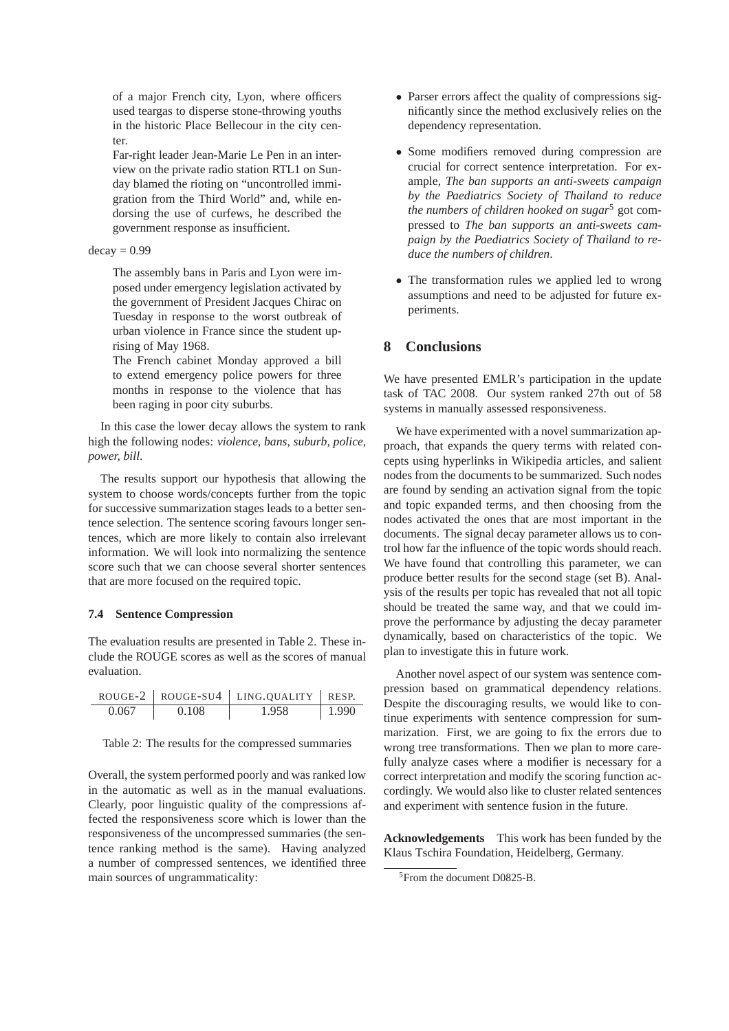of a major French city, Lyon, where officers used teargas to disperse stone-throwing youths in the historic Place Bellecour in the city center.

Far-right leader Jean-Marie Le Pen in an interview on the private radio station RTL1 on Sunday blamed the rioting on "uncontrolled immigration from the Third World" and, while endorsing the use of curfews, he described the government response as insufficient.

### $decay = 0.99$

The assembly bans in Paris and Lyon were imposed under emergency legislation activated by the government of President Jacques Chirac on Tuesday in response to the worst outbreak of urban violence in France since the student uprising of May 1968.

The French cabinet Monday approved a bill to extend emergency police powers for three months in response to the violence that has been raging in poor city suburbs.

In this case the lower decay allows the system to rank high the following nodes: *violence, bans, suburb, police, power, bill*.

The results support our hypothesis that allowing the system to choose words/concepts further from the topic for successive summarization stages leads to a better sentence selection. The sentence scoring favours longer sentences, which are more likely to contain also irrelevant information. We will look into normalizing the sentence score such that we can choose several shorter sentences that are more focused on the required topic.

### **7.4 Sentence Compression**

The evaluation results are presented in Table 2. These include the ROUGE scores as well as the scores of manual evaluation.

|       |       | ROUGE-2   ROUGE-SU4   LING. QUALITY   RESP. |       |
|-------|-------|---------------------------------------------|-------|
| 0.067 | 0.108 | 1.958                                       | 1.990 |

| Table 2: The results for the compressed summaries |
|---------------------------------------------------|
|---------------------------------------------------|

Overall, the system performed poorly and was ranked low in the automatic as well as in the manual evaluations. Clearly, poor linguistic quality of the compressions affected the responsiveness score which is lower than the responsiveness of the uncompressed summaries (the sentence ranking method is the same). Having analyzed a number of compressed sentences, we identified three main sources of ungrammaticality:

- Parser errors affect the quality of compressions significantly since the method exclusively relies on the dependency representation.
- Some modifiers removed during compression are crucial for correct sentence interpretation. For example, *The ban supports an anti-sweets campaign by the Paediatrics Society of Thailand to reduce the numbers of children hooked on sugar*<sup>5</sup> got compressed to *The ban supports an anti-sweets campaign by the Paediatrics Society of Thailand to reduce the numbers of children*.
- The transformation rules we applied led to wrong assumptions and need to be adjusted for future experiments.

### **8 Conclusions**

We have presented EMLR's participation in the update task of TAC 2008. Our system ranked 27th out of 58 systems in manually assessed responsiveness.

We have experimented with a novel summarization approach, that expands the query terms with related concepts using hyperlinks in Wikipedia articles, and salient nodes from the documents to be summarized. Such nodes are found by sending an activation signal from the topic and topic expanded terms, and then choosing from the nodes activated the ones that are most important in the documents. The signal decay parameter allows us to control how far the influence of the topic words should reach. We have found that controlling this parameter, we can produce better results for the second stage (set B). Analysis of the results per topic has revealed that not all topic should be treated the same way, and that we could improve the performance by adjusting the decay parameter dynamically, based on characteristics of the topic. We plan to investigate this in future work.

Another novel aspect of our system was sentence compression based on grammatical dependency relations. Despite the discouraging results, we would like to continue experiments with sentence compression for summarization. First, we are going to fix the errors due to wrong tree transformations. Then we plan to more carefully analyze cases where a modifier is necessary for a correct interpretation and modify the scoring function accordingly. We would also like to cluster related sentences and experiment with sentence fusion in the future.

**Acknowledgements** This work has been funded by the Klaus Tschira Foundation, Heidelberg, Germany.

<sup>5</sup> From the document D0825-B.